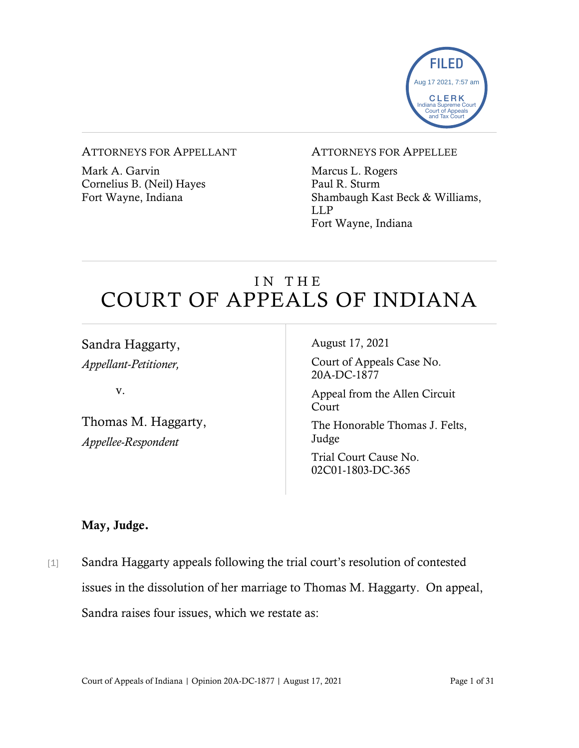

#### ATTORNEYS FOR APPELLANT

Mark A. Garvin Cornelius B. (Neil) Hayes Fort Wayne, Indiana

#### ATTORNEYS FOR APPELLEE

Marcus L. Rogers Paul R. Sturm Shambaugh Kast Beck & Williams, LLP Fort Wayne, Indiana

# IN THE COURT OF APPEALS OF INDIANA

Sandra Haggarty, *Appellant-Petitioner,*

v.

Thomas M. Haggarty, *Appellee-Respondent*

August 17, 2021

Court of Appeals Case No. 20A-DC-1877

Appeal from the Allen Circuit Court

The Honorable Thomas J. Felts, Judge

Trial Court Cause No. 02C01-1803-DC-365

### May, Judge.

[1] Sandra Haggarty appeals following the trial court's resolution of contested issues in the dissolution of her marriage to Thomas M. Haggarty. On appeal, Sandra raises four issues, which we restate as: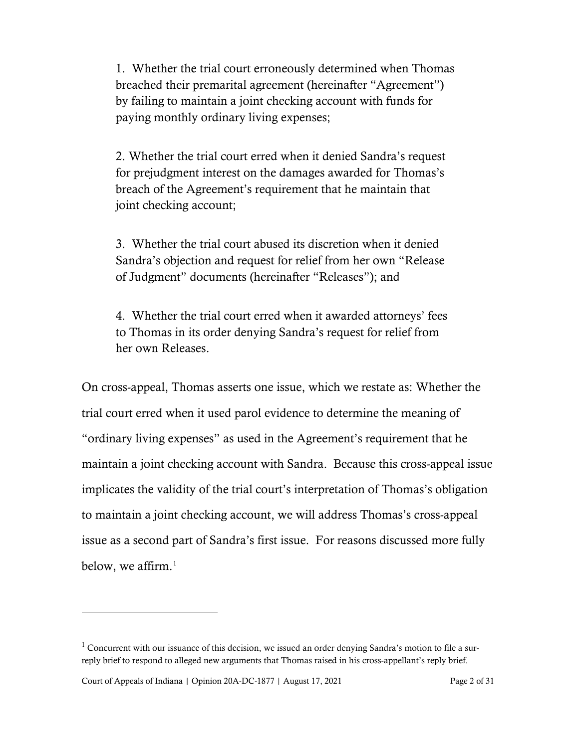1. Whether the trial court erroneously determined when Thomas breached their premarital agreement (hereinafter "Agreement") by failing to maintain a joint checking account with funds for paying monthly ordinary living expenses;

2. Whether the trial court erred when it denied Sandra's request for prejudgment interest on the damages awarded for Thomas's breach of the Agreement's requirement that he maintain that joint checking account;

3. Whether the trial court abused its discretion when it denied Sandra's objection and request for relief from her own "Release of Judgment" documents (hereinafter "Releases"); and

4. Whether the trial court erred when it awarded attorneys' fees to Thomas in its order denying Sandra's request for relief from her own Releases.

On cross-appeal, Thomas asserts one issue, which we restate as: Whether the trial court erred when it used parol evidence to determine the meaning of "ordinary living expenses" as used in the Agreement's requirement that he maintain a joint checking account with Sandra. Because this cross-appeal issue implicates the validity of the trial court's interpretation of Thomas's obligation to maintain a joint checking account, we will address Thomas's cross-appeal issue as a second part of Sandra's first issue. For reasons discussed more fully below, we affirm. [1](#page-1-0)

Court of Appeals of Indiana | Opinion 20A-DC-1877 | August 17, 2021 Page 2 of 31

<span id="page-1-0"></span> $1$  Concurrent with our issuance of this decision, we issued an order denying Sandra's motion to file a surreply brief to respond to alleged new arguments that Thomas raised in his cross-appellant's reply brief.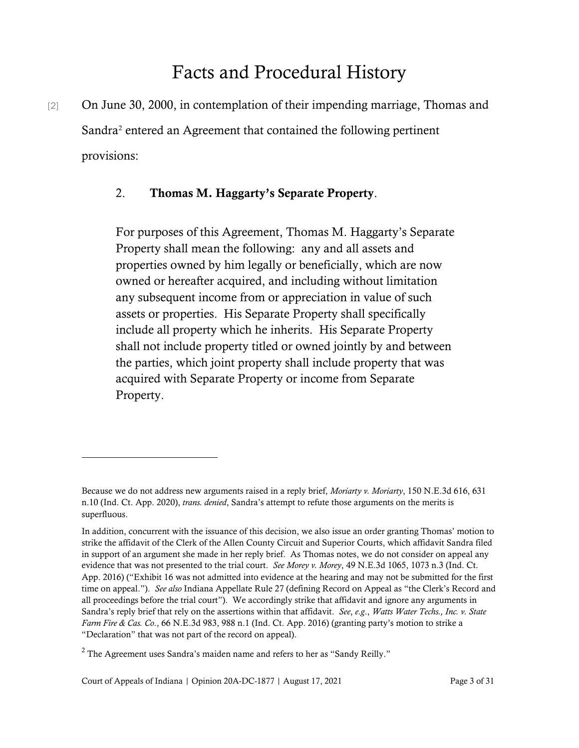# Facts and Procedural History

[2] On June 30, 2000, in contemplation of their impending marriage, Thomas and Sandra<sup>[2](#page-2-0)</sup> entered an Agreement that contained the following pertinent provisions:

#### 2. Thomas M. Haggarty's Separate Property.

For purposes of this Agreement, Thomas M. Haggarty's Separate Property shall mean the following: any and all assets and properties owned by him legally or beneficially, which are now owned or hereafter acquired, and including without limitation any subsequent income from or appreciation in value of such assets or properties. His Separate Property shall specifically include all property which he inherits. His Separate Property shall not include property titled or owned jointly by and between the parties, which joint property shall include property that was acquired with Separate Property or income from Separate Property.

Because we do not address new arguments raised in a reply brief, *Moriarty v. Moriarty*, 150 N.E.3d 616, 631 n.10 (Ind. Ct. App. 2020), *trans. denied*, Sandra's attempt to refute those arguments on the merits is superfluous.

In addition, concurrent with the issuance of this decision, we also issue an order granting Thomas' motion to strike the affidavit of the Clerk of the Allen County Circuit and Superior Courts, which affidavit Sandra filed in support of an argument she made in her reply brief. As Thomas notes, we do not consider on appeal any evidence that was not presented to the trial court. *See Morey v. Morey*, 49 N.E.3d 1065, 1073 n.3 (Ind. Ct. App. 2016) ("Exhibit 16 was not admitted into evidence at the hearing and may not be submitted for the first time on appeal."). *See also* Indiana Appellate Rule 27 (defining Record on Appeal as "the Clerk's Record and all proceedings before the trial court"). We accordingly strike that affidavit and ignore any arguments in Sandra's reply brief that rely on the assertions within that affidavit. *See*, *e.g*., *Watts Water Techs., Inc. v. State Farm Fire & Cas. Co*., 66 N.E.3d 983, 988 n.1 (Ind. Ct. App. 2016) (granting party's motion to strike a "Declaration" that was not part of the record on appeal).

<span id="page-2-0"></span> $2$  The Agreement uses Sandra's maiden name and refers to her as "Sandy Reilly."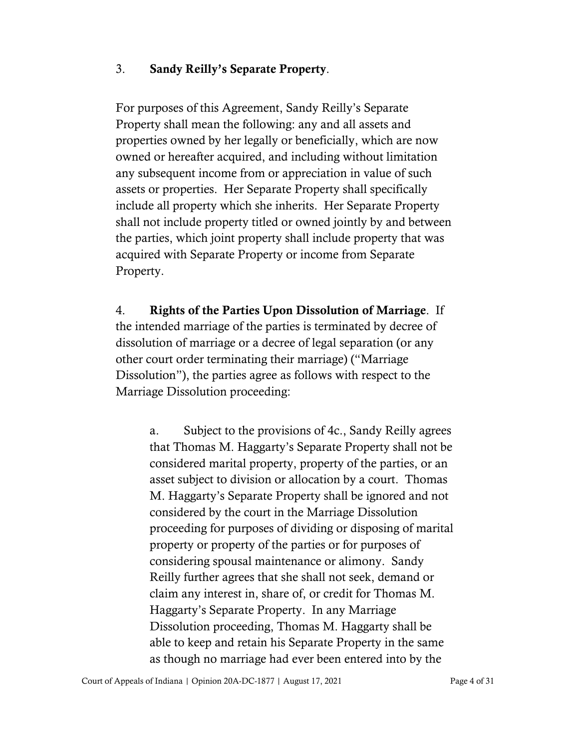### 3. Sandy Reilly's Separate Property.

For purposes of this Agreement, Sandy Reilly's Separate Property shall mean the following: any and all assets and properties owned by her legally or beneficially, which are now owned or hereafter acquired, and including without limitation any subsequent income from or appreciation in value of such assets or properties. Her Separate Property shall specifically include all property which she inherits. Her Separate Property shall not include property titled or owned jointly by and between the parties, which joint property shall include property that was acquired with Separate Property or income from Separate Property.

4. Rights of the Parties Upon Dissolution of Marriage. If the intended marriage of the parties is terminated by decree of dissolution of marriage or a decree of legal separation (or any other court order terminating their marriage) ("Marriage Dissolution"), the parties agree as follows with respect to the Marriage Dissolution proceeding:

a. Subject to the provisions of 4c., Sandy Reilly agrees that Thomas M. Haggarty's Separate Property shall not be considered marital property, property of the parties, or an asset subject to division or allocation by a court. Thomas M. Haggarty's Separate Property shall be ignored and not considered by the court in the Marriage Dissolution proceeding for purposes of dividing or disposing of marital property or property of the parties or for purposes of considering spousal maintenance or alimony. Sandy Reilly further agrees that she shall not seek, demand or claim any interest in, share of, or credit for Thomas M. Haggarty's Separate Property. In any Marriage Dissolution proceeding, Thomas M. Haggarty shall be able to keep and retain his Separate Property in the same as though no marriage had ever been entered into by the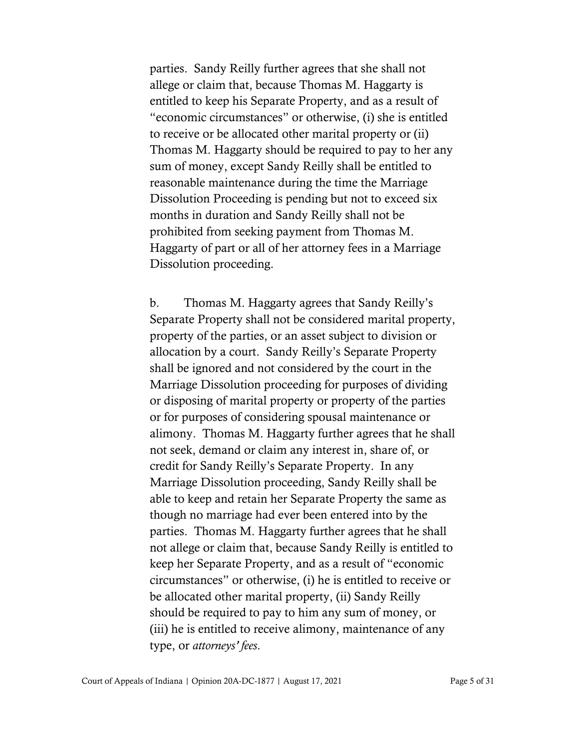parties. Sandy Reilly further agrees that she shall not allege or claim that, because Thomas M. Haggarty is entitled to keep his Separate Property, and as a result of "economic circumstances" or otherwise, (i) she is entitled to receive or be allocated other marital property or (ii) Thomas M. Haggarty should be required to pay to her any sum of money, except Sandy Reilly shall be entitled to reasonable maintenance during the time the Marriage Dissolution Proceeding is pending but not to exceed six months in duration and Sandy Reilly shall not be prohibited from seeking payment from Thomas M. Haggarty of part or all of her attorney fees in a Marriage Dissolution proceeding.

b. Thomas M. Haggarty agrees that Sandy Reilly's Separate Property shall not be considered marital property, property of the parties, or an asset subject to division or allocation by a court. Sandy Reilly's Separate Property shall be ignored and not considered by the court in the Marriage Dissolution proceeding for purposes of dividing or disposing of marital property or property of the parties or for purposes of considering spousal maintenance or alimony. Thomas M. Haggarty further agrees that he shall not seek, demand or claim any interest in, share of, or credit for Sandy Reilly's Separate Property. In any Marriage Dissolution proceeding, Sandy Reilly shall be able to keep and retain her Separate Property the same as though no marriage had ever been entered into by the parties. Thomas M. Haggarty further agrees that he shall not allege or claim that, because Sandy Reilly is entitled to keep her Separate Property, and as a result of "economic circumstances" or otherwise, (i) he is entitled to receive or be allocated other marital property, (ii) Sandy Reilly should be required to pay to him any sum of money, or (iii) he is entitled to receive alimony, maintenance of any type, or *attorneys' fees*.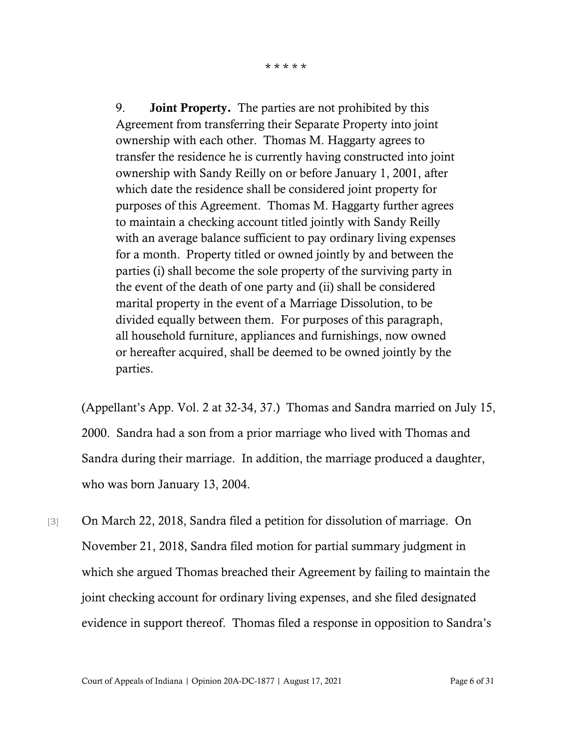9. **Joint Property.** The parties are not prohibited by this Agreement from transferring their Separate Property into joint ownership with each other. Thomas M. Haggarty agrees to transfer the residence he is currently having constructed into joint ownership with Sandy Reilly on or before January 1, 2001, after which date the residence shall be considered joint property for purposes of this Agreement. Thomas M. Haggarty further agrees to maintain a checking account titled jointly with Sandy Reilly with an average balance sufficient to pay ordinary living expenses for a month.Property titled or owned jointly by and between the parties (i) shall become the sole property of the surviving party in the event of the death of one party and (ii) shall be considered marital property in the event of a Marriage Dissolution, to be divided equally between them. For purposes of this paragraph, all household furniture, appliances and furnishings, now owned or hereafter acquired, shall be deemed to be owned jointly by the parties.

(Appellant's App. Vol. 2 at 32-34, 37.) Thomas and Sandra married on July 15, 2000. Sandra had a son from a prior marriage who lived with Thomas and Sandra during their marriage. In addition, the marriage produced a daughter, who was born January 13, 2004.

[3] On March 22, 2018, Sandra filed a petition for dissolution of marriage. On November 21, 2018, Sandra filed motion for partial summary judgment in which she argued Thomas breached their Agreement by failing to maintain the joint checking account for ordinary living expenses, and she filed designated evidence in support thereof. Thomas filed a response in opposition to Sandra's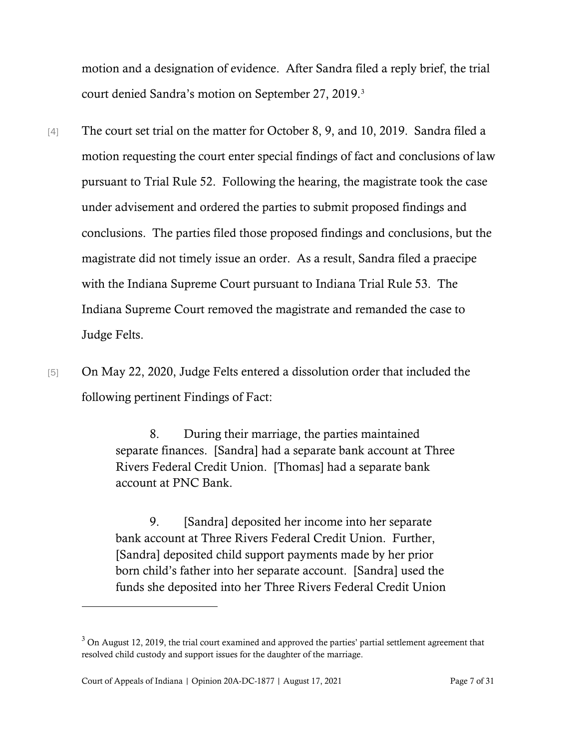motion and a designation of evidence. After Sandra filed a reply brief, the trial court denied Sandra's motion on September 27, 2019. [3](#page-6-0)

- [4] The court set trial on the matter for October 8, 9, and 10, 2019. Sandra filed a motion requesting the court enter special findings of fact and conclusions of law pursuant to Trial Rule 52. Following the hearing, the magistrate took the case under advisement and ordered the parties to submit proposed findings and conclusions. The parties filed those proposed findings and conclusions, but the magistrate did not timely issue an order. As a result, Sandra filed a praecipe with the Indiana Supreme Court pursuant to Indiana Trial Rule 53. The Indiana Supreme Court removed the magistrate and remanded the case to Judge Felts.
- [5] On May 22, 2020, Judge Felts entered a dissolution order that included the following pertinent Findings of Fact:

8. During their marriage, the parties maintained separate finances. [Sandra] had a separate bank account at Three Rivers Federal Credit Union. [Thomas] had a separate bank account at PNC Bank.

9. [Sandra] deposited her income into her separate bank account at Three Rivers Federal Credit Union. Further, [Sandra] deposited child support payments made by her prior born child's father into her separate account. [Sandra] used the funds she deposited into her Three Rivers Federal Credit Union

<span id="page-6-0"></span> $3$  On August 12, 2019, the trial court examined and approved the parties' partial settlement agreement that resolved child custody and support issues for the daughter of the marriage.

Court of Appeals of Indiana | Opinion 20A-DC-1877 | August 17, 2021 Page 7 of 31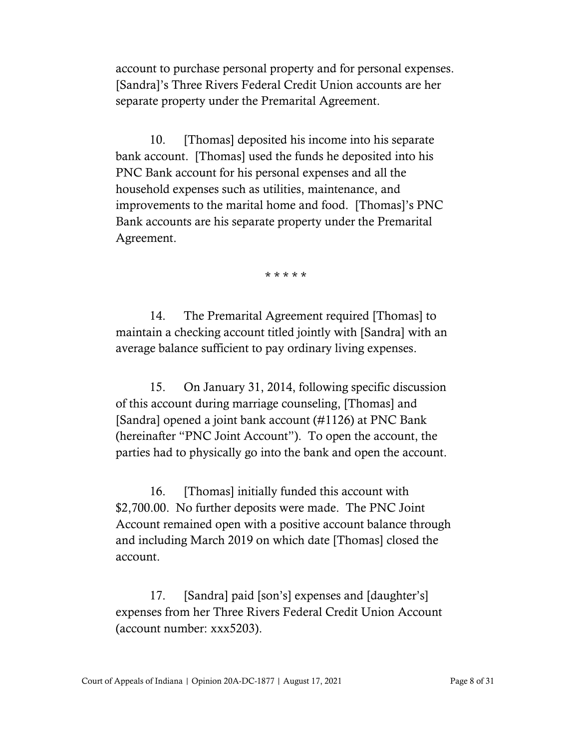account to purchase personal property and for personal expenses. [Sandra]'s Three Rivers Federal Credit Union accounts are her separate property under the Premarital Agreement.

10. [Thomas] deposited his income into his separate bank account. [Thomas] used the funds he deposited into his PNC Bank account for his personal expenses and all the household expenses such as utilities, maintenance, and improvements to the marital home and food. [Thomas]'s PNC Bank accounts are his separate property under the Premarital Agreement.

\* \* \* \* \*

14. The Premarital Agreement required [Thomas] to maintain a checking account titled jointly with [Sandra] with an average balance sufficient to pay ordinary living expenses.

15. On January 31, 2014, following specific discussion of this account during marriage counseling, [Thomas] and [Sandra] opened a joint bank account (#1126) at PNC Bank (hereinafter "PNC Joint Account"). To open the account, the parties had to physically go into the bank and open the account.

16. [Thomas] initially funded this account with \$2,700.00. No further deposits were made. The PNC Joint Account remained open with a positive account balance through and including March 2019 on which date [Thomas] closed the account.

17. [Sandra] paid [son's] expenses and [daughter's] expenses from her Three Rivers Federal Credit Union Account (account number: xxx5203).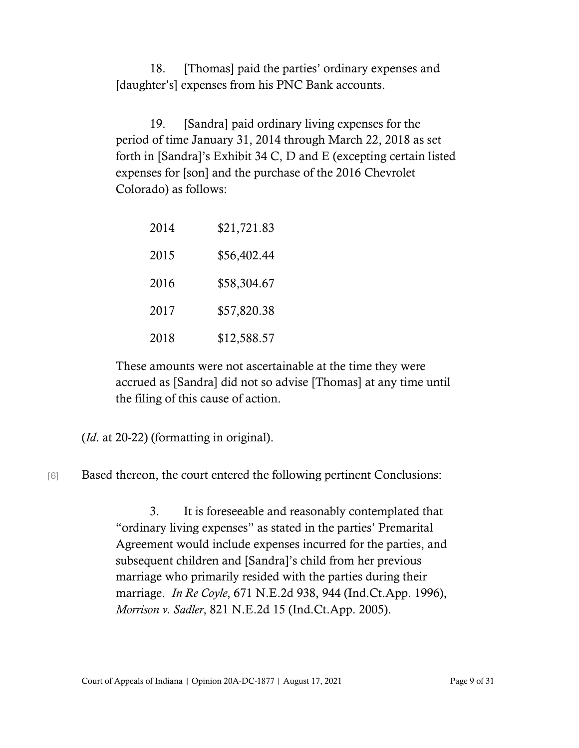18. [Thomas] paid the parties' ordinary expenses and [daughter's] expenses from his PNC Bank accounts.

19. [Sandra] paid ordinary living expenses for the period of time January 31, 2014 through March 22, 2018 as set forth in [Sandra]'s Exhibit 34 C, D and E (excepting certain listed expenses for [son] and the purchase of the 2016 Chevrolet Colorado) as follows:

| 2014 | \$21,721.83 |
|------|-------------|
| 2015 | \$56,402.44 |
| 2016 | \$58,304.67 |
| 2017 | \$57,820.38 |
| 2018 | \$12,588.57 |

These amounts were not ascertainable at the time they were accrued as [Sandra] did not so advise [Thomas] at any time until the filing of this cause of action.

(*Id*. at 20-22) (formatting in original).

[6] Based thereon, the court entered the following pertinent Conclusions:

3. It is foreseeable and reasonably contemplated that "ordinary living expenses" as stated in the parties' Premarital Agreement would include expenses incurred for the parties, and subsequent children and [Sandra]'s child from her previous marriage who primarily resided with the parties during their marriage. *In Re Coyle*, 671 N.E.2d 938, 944 (Ind.Ct.App. 1996), *Morrison v. Sadler*, 821 N.E.2d 15 (Ind.Ct.App. 2005).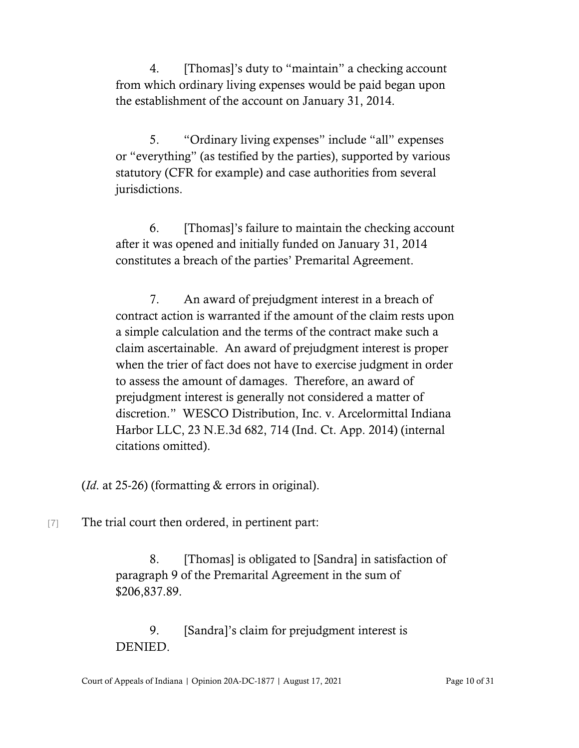4. [Thomas]'s duty to "maintain" a checking account from which ordinary living expenses would be paid began upon the establishment of the account on January 31, 2014.

5. "Ordinary living expenses" include "all" expenses or "everything" (as testified by the parties), supported by various statutory (CFR for example) and case authorities from several jurisdictions.

6. [Thomas]'s failure to maintain the checking account after it was opened and initially funded on January 31, 2014 constitutes a breach of the parties' Premarital Agreement.

7. An award of prejudgment interest in a breach of contract action is warranted if the amount of the claim rests upon a simple calculation and the terms of the contract make such a claim ascertainable. An award of prejudgment interest is proper when the trier of fact does not have to exercise judgment in order to assess the amount of damages. Therefore, an award of prejudgment interest is generally not considered a matter of discretion." WESCO Distribution, Inc. v. Arcelormittal Indiana Harbor LLC, 23 N.E.3d 682, 714 (Ind. Ct. App. 2014) (internal citations omitted).

(*Id*. at 25-26) (formatting & errors in original).

[7] The trial court then ordered, in pertinent part:

8. [Thomas] is obligated to [Sandra] in satisfaction of paragraph 9 of the Premarital Agreement in the sum of \$206,837.89.

9. [Sandra]'s claim for prejudgment interest is DENIED.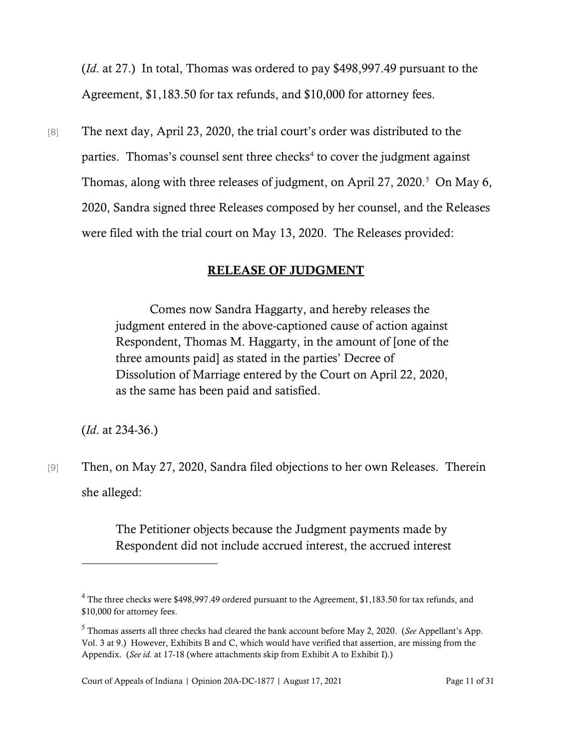(*Id*. at 27.) In total, Thomas was ordered to pay \$498,997.49 pursuant to the Agreement, \$1,183.50 for tax refunds, and \$10,000 for attorney fees.

[8] The next day, April 23, 2020, the trial court's order was distributed to the parties. Thomas's counsel sent three checks<sup>[4](#page-10-0)</sup> to cover the judgment against Thomas, along with three releases of judgment, on April 27, 2020. [5](#page-10-1) On May 6, 2020, Sandra signed three Releases composed by her counsel, and the Releases were filed with the trial court on May 13, 2020. The Releases provided:

### RELEASE OF JUDGMENT

Comes now Sandra Haggarty, and hereby releases the judgment entered in the above-captioned cause of action against Respondent, Thomas M. Haggarty, in the amount of [one of the three amounts paid] as stated in the parties' Decree of Dissolution of Marriage entered by the Court on April 22, 2020, as the same has been paid and satisfied.

(*Id*. at 234-36.)

[9] Then, on May 27, 2020, Sandra filed objections to her own Releases. Therein she alleged:

> The Petitioner objects because the Judgment payments made by Respondent did not include accrued interest, the accrued interest

<span id="page-10-0"></span><sup>&</sup>lt;sup>4</sup> The three checks were \$498,997.49 ordered pursuant to the Agreement, \$1,183.50 for tax refunds, and \$10,000 for attorney fees.

<span id="page-10-1"></span><sup>5</sup> Thomas asserts all three checks had cleared the bank account before May 2, 2020. (*See* Appellant's App. Vol. 3 at 9.) However, Exhibits B and C, which would have verified that assertion, are missing from the Appendix. (*See id.* at 17-18 (where attachments skip from Exhibit A to Exhibit I).)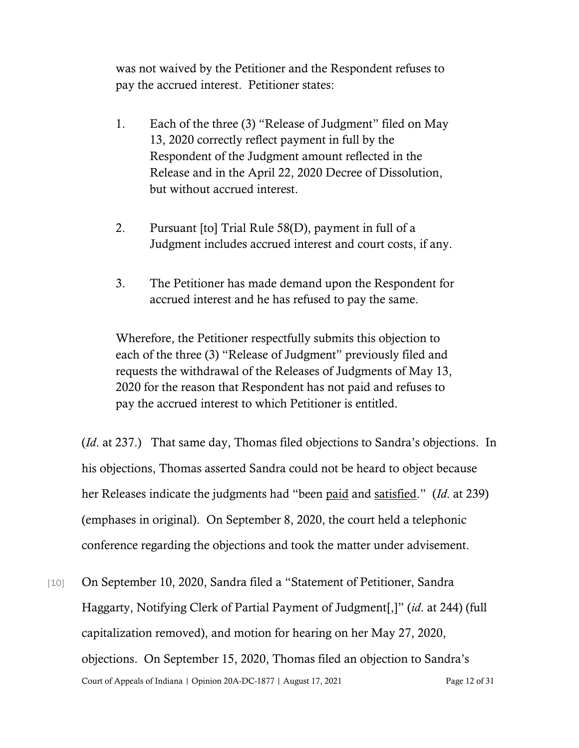was not waived by the Petitioner and the Respondent refuses to pay the accrued interest. Petitioner states:

- 1. Each of the three (3) "Release of Judgment" filed on May 13, 2020 correctly reflect payment in full by the Respondent of the Judgment amount reflected in the Release and in the April 22, 2020 Decree of Dissolution, but without accrued interest.
- 2. Pursuant [to] Trial Rule 58(D), payment in full of a Judgment includes accrued interest and court costs, if any.
- 3. The Petitioner has made demand upon the Respondent for accrued interest and he has refused to pay the same.

Wherefore, the Petitioner respectfully submits this objection to each of the three (3) "Release of Judgment" previously filed and requests the withdrawal of the Releases of Judgments of May 13, 2020 for the reason that Respondent has not paid and refuses to pay the accrued interest to which Petitioner is entitled.

(*Id*. at 237.) That same day, Thomas filed objections to Sandra's objections. In his objections, Thomas asserted Sandra could not be heard to object because her Releases indicate the judgments had "been paid and satisfied." (*Id*. at 239) (emphases in original). On September 8, 2020, the court held a telephonic conference regarding the objections and took the matter under advisement.

Court of Appeals of Indiana | Opinion 20A-DC-1877 | August 17, 2021 Page 12 of 31 [10] On September 10, 2020, Sandra filed a "Statement of Petitioner, Sandra Haggarty, Notifying Clerk of Partial Payment of Judgment[,]" (*id*. at 244) (full capitalization removed), and motion for hearing on her May 27, 2020, objections. On September 15, 2020, Thomas filed an objection to Sandra's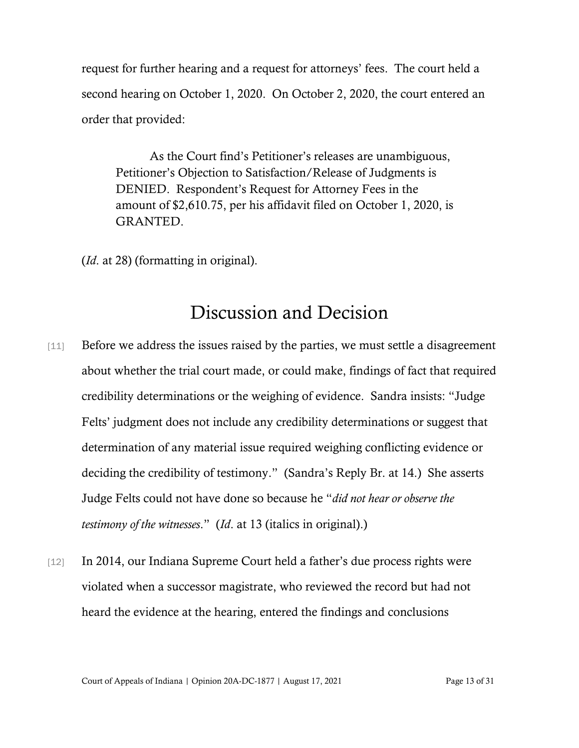request for further hearing and a request for attorneys' fees. The court held a second hearing on October 1, 2020. On October 2, 2020, the court entered an order that provided:

As the Court find's Petitioner's releases are unambiguous, Petitioner's Objection to Satisfaction/Release of Judgments is DENIED. Respondent's Request for Attorney Fees in the amount of \$2,610.75, per his affidavit filed on October 1, 2020, is GRANTED.

(*Id*. at 28) (formatting in original).

# Discussion and Decision

- [11] Before we address the issues raised by the parties, we must settle a disagreement about whether the trial court made, or could make, findings of fact that required credibility determinations or the weighing of evidence. Sandra insists: "Judge Felts' judgment does not include any credibility determinations or suggest that determination of any material issue required weighing conflicting evidence or deciding the credibility of testimony." (Sandra's Reply Br. at 14.) She asserts Judge Felts could not have done so because he "*did not hear or observe the testimony of the witnesses*." (*Id*. at 13 (italics in original).)
- [12] In 2014, our Indiana Supreme Court held a father's due process rights were violated when a successor magistrate, who reviewed the record but had not heard the evidence at the hearing, entered the findings and conclusions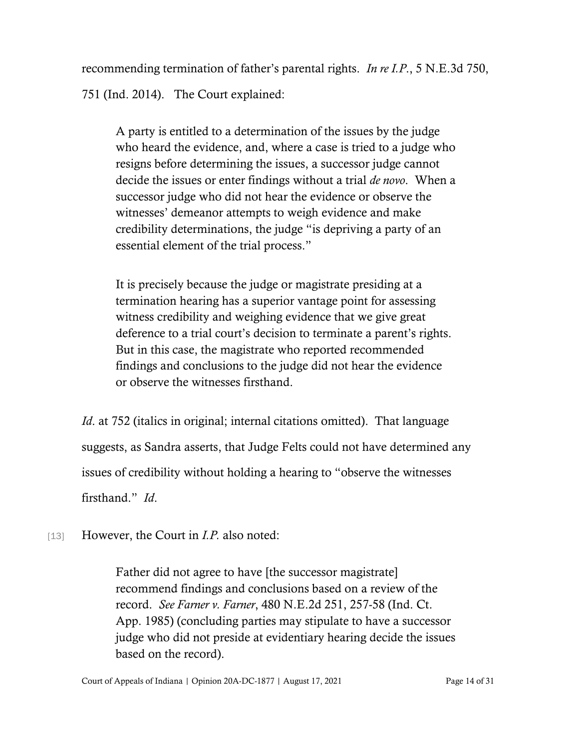recommending termination of father's parental rights. *In re I.P*., 5 N.E.3d 750, 751 (Ind. 2014). The Court explained:

A party is entitled to a determination of the issues by the judge who heard the evidence, and, where a case is tried to a judge who resigns before determining the issues, a successor judge cannot decide the issues or enter findings without a trial *de novo*. When a successor judge who did not hear the evidence or observe the witnesses' demeanor attempts to weigh evidence and make credibility determinations, the judge "is depriving a party of an essential element of the trial process."

It is precisely because the judge or magistrate presiding at a termination hearing has a superior vantage point for assessing witness credibility and weighing evidence that we give great deference to a trial court's decision to terminate a parent's rights. But in this case, the magistrate who reported recommended findings and conclusions to the judge did not hear the evidence or observe the witnesses firsthand.

*Id.* at 752 (italics in original; internal citations omitted). That language suggests, as Sandra asserts, that Judge Felts could not have determined any issues of credibility without holding a hearing to "observe the witnesses firsthand." *Id*.

[13] However, the Court in *I.P.* also noted:

Father did not agree to have [the successor magistrate] recommend findings and conclusions based on a review of the record. *See Farner v. Farner*, 480 N.E.2d 251, 257-58 (Ind. Ct. App. 1985) (concluding parties may stipulate to have a successor judge who did not preside at evidentiary hearing decide the issues based on the record).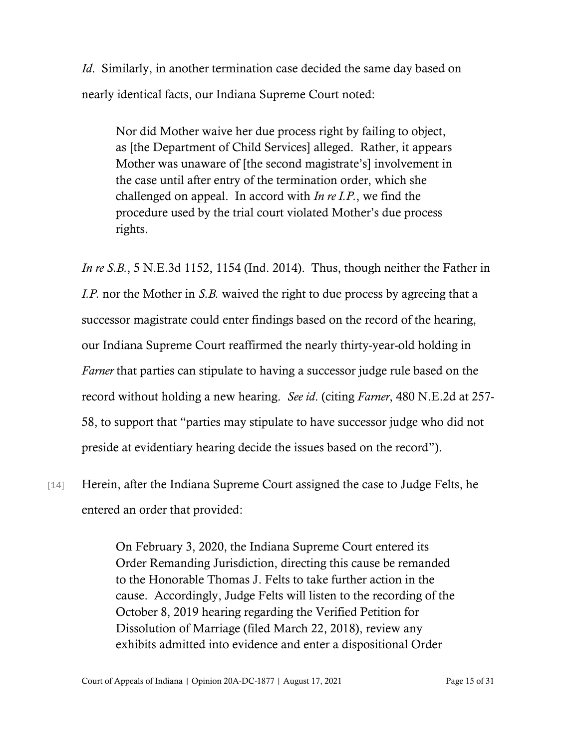*Id*. Similarly, in another termination case decided the same day based on nearly identical facts, our Indiana Supreme Court noted:

Nor did Mother waive her due process right by failing to object, as [the Department of Child Services] alleged. Rather, it appears Mother was unaware of [the second magistrate's] involvement in the case until after entry of the termination order, which she challenged on appeal. In accord with *In re I.P.*, we find the procedure used by the trial court violated Mother's due process rights.

*In re S.B.*, 5 N.E.3d 1152, 1154 (Ind. 2014). Thus, though neither the Father in *I.P.* nor the Mother in *S.B.* waived the right to due process by agreeing that a successor magistrate could enter findings based on the record of the hearing, our Indiana Supreme Court reaffirmed the nearly thirty-year-old holding in *Farner* that parties can stipulate to having a successor judge rule based on the record without holding a new hearing. *See id*. (citing *Farner*, 480 N.E.2d at 257- 58, to support that "parties may stipulate to have successor judge who did not preside at evidentiary hearing decide the issues based on the record").

[14] Herein, after the Indiana Supreme Court assigned the case to Judge Felts, he entered an order that provided:

> On February 3, 2020, the Indiana Supreme Court entered its Order Remanding Jurisdiction, directing this cause be remanded to the Honorable Thomas J. Felts to take further action in the cause. Accordingly, Judge Felts will listen to the recording of the October 8, 2019 hearing regarding the Verified Petition for Dissolution of Marriage (filed March 22, 2018), review any exhibits admitted into evidence and enter a dispositional Order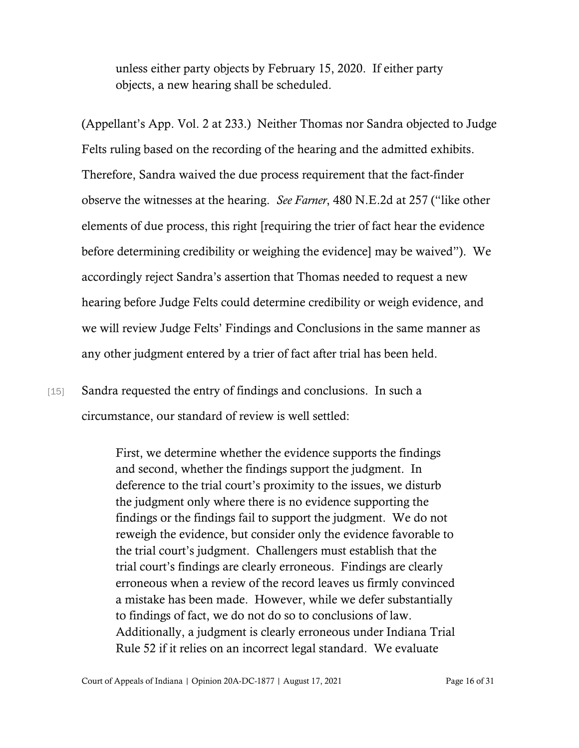unless either party objects by February 15, 2020. If either party objects, a new hearing shall be scheduled.

(Appellant's App. Vol. 2 at 233.) Neither Thomas nor Sandra objected to Judge Felts ruling based on the recording of the hearing and the admitted exhibits. Therefore, Sandra waived the due process requirement that the fact-finder observe the witnesses at the hearing. *See Farner*, 480 N.E.2d at 257 ("like other elements of due process, this right [requiring the trier of fact hear the evidence before determining credibility or weighing the evidence] may be waived"). We accordingly reject Sandra's assertion that Thomas needed to request a new hearing before Judge Felts could determine credibility or weigh evidence, and we will review Judge Felts' Findings and Conclusions in the same manner as any other judgment entered by a trier of fact after trial has been held.

[15] Sandra requested the entry of findings and conclusions. In such a circumstance, our standard of review is well settled:

> First, we determine whether the evidence supports the findings and second, whether the findings support the judgment. In deference to the trial court's proximity to the issues, we disturb the judgment only where there is no evidence supporting the findings or the findings fail to support the judgment. We do not reweigh the evidence, but consider only the evidence favorable to the trial court's judgment. Challengers must establish that the trial court's findings are clearly erroneous. Findings are clearly erroneous when a review of the record leaves us firmly convinced a mistake has been made. However, while we defer substantially to findings of fact, we do not do so to conclusions of law. Additionally, a judgment is clearly erroneous under Indiana Trial Rule 52 if it relies on an incorrect legal standard. We evaluate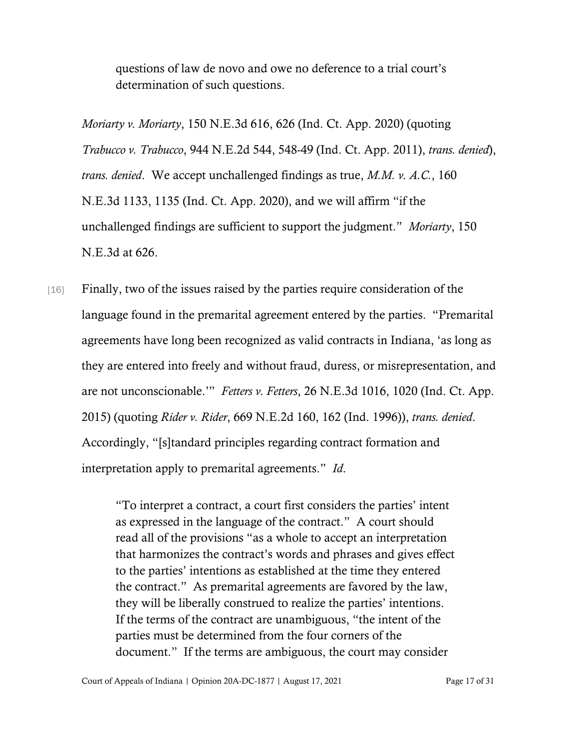questions of law de novo and owe no deference to a trial court's determination of such questions.

*Moriarty v. Moriarty*, 150 N.E.3d 616, 626 (Ind. Ct. App. 2020) (quoting *Trabucco v. Trabucco*, 944 N.E.2d 544, 548-49 (Ind. Ct. App. 2011), *trans. denied*), *trans. denied*. We accept unchallenged findings as true, *M.M. v. A.C.*, 160 N.E.3d 1133, 1135 (Ind. Ct. App. 2020), and we will affirm "if the unchallenged findings are sufficient to support the judgment." *Moriarty*, 150 N.E.3d at 626.

[16] Finally, two of the issues raised by the parties require consideration of the language found in the premarital agreement entered by the parties. "Premarital agreements have long been recognized as valid contracts in Indiana, 'as long as they are entered into freely and without fraud, duress, or misrepresentation, and are not unconscionable.'" *Fetters v. Fetters*, 26 N.E.3d 1016, 1020 (Ind. Ct. App. 2015) (quoting *Rider v. Rider*, 669 N.E.2d 160, 162 (Ind. 1996)), *trans. denied*. Accordingly, "[s]tandard principles regarding contract formation and interpretation apply to premarital agreements." *Id*.

> "To interpret a contract, a court first considers the parties' intent as expressed in the language of the contract." A court should read all of the provisions "as a whole to accept an interpretation that harmonizes the contract's words and phrases and gives effect to the parties' intentions as established at the time they entered the contract." As premarital agreements are favored by the law, they will be liberally construed to realize the parties' intentions. If the terms of the contract are unambiguous, "the intent of the parties must be determined from the four corners of the document." If the terms are ambiguous, the court may consider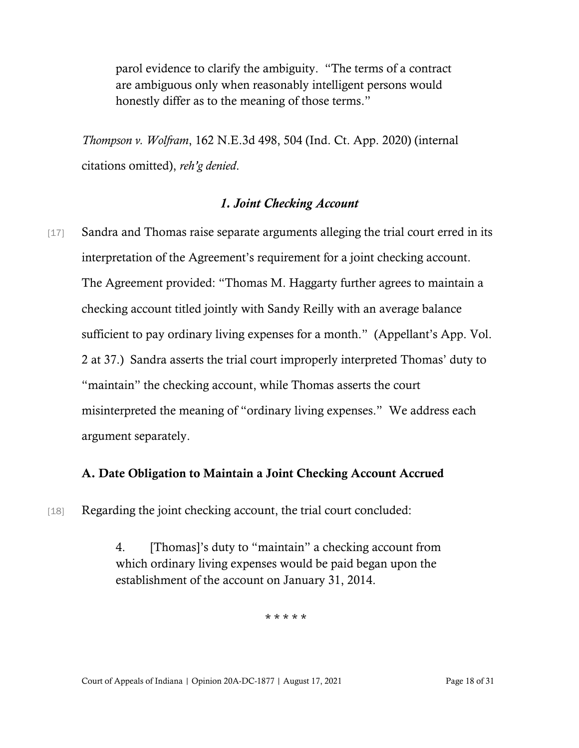parol evidence to clarify the ambiguity. "The terms of a contract are ambiguous only when reasonably intelligent persons would honestly differ as to the meaning of those terms."

*Thompson v. Wolfram*, 162 N.E.3d 498, 504 (Ind. Ct. App. 2020) (internal citations omitted), *reh'g denied*.

#### *1. Joint Checking Account*

[17] Sandra and Thomas raise separate arguments alleging the trial court erred in its interpretation of the Agreement's requirement for a joint checking account. The Agreement provided: "Thomas M. Haggarty further agrees to maintain a checking account titled jointly with Sandy Reilly with an average balance sufficient to pay ordinary living expenses for a month." (Appellant's App. Vol. 2 at 37.) Sandra asserts the trial court improperly interpreted Thomas' duty to "maintain" the checking account, while Thomas asserts the court misinterpreted the meaning of "ordinary living expenses." We address each argument separately.

#### A. Date Obligation to Maintain a Joint Checking Account Accrued

[18] Regarding the joint checking account, the trial court concluded:

4. [Thomas]'s duty to "maintain" a checking account from which ordinary living expenses would be paid began upon the establishment of the account on January 31, 2014.

\* \* \* \* \*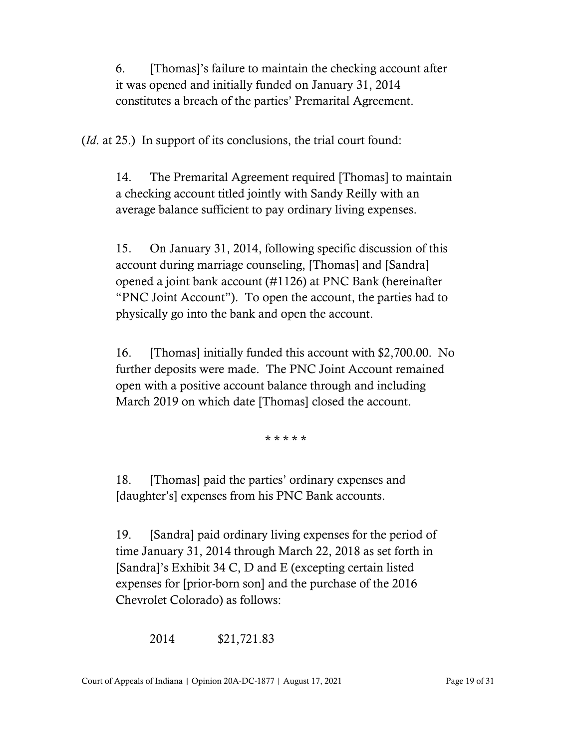6. [Thomas]'s failure to maintain the checking account after it was opened and initially funded on January 31, 2014 constitutes a breach of the parties' Premarital Agreement.

(*Id*. at 25.) In support of its conclusions, the trial court found:

14. The Premarital Agreement required [Thomas] to maintain a checking account titled jointly with Sandy Reilly with an average balance sufficient to pay ordinary living expenses.

15. On January 31, 2014, following specific discussion of this account during marriage counseling, [Thomas] and [Sandra] opened a joint bank account (#1126) at PNC Bank (hereinafter "PNC Joint Account"). To open the account, the parties had to physically go into the bank and open the account.

16. [Thomas] initially funded this account with \$2,700.00. No further deposits were made. The PNC Joint Account remained open with a positive account balance through and including March 2019 on which date [Thomas] closed the account.

\* \* \* \* \*

18. [Thomas] paid the parties' ordinary expenses and [daughter's] expenses from his PNC Bank accounts.

19. [Sandra] paid ordinary living expenses for the period of time January 31, 2014 through March 22, 2018 as set forth in [Sandra]'s Exhibit 34 C, D and E (excepting certain listed expenses for [prior-born son] and the purchase of the 2016 Chevrolet Colorado) as follows:

2014 \$21,721.83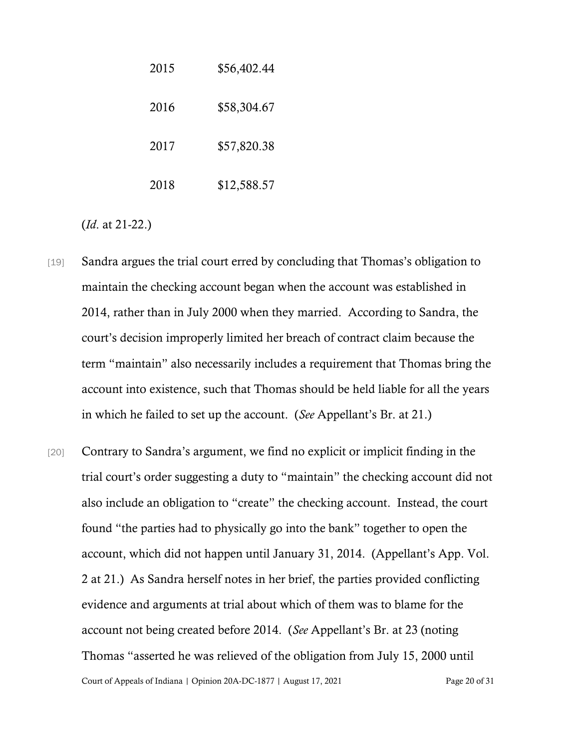| 2015 | \$56,402.44 |
|------|-------------|
| 2016 | \$58,304.67 |
| 2017 | \$57,820.38 |
| 2018 | \$12,588.57 |

(*Id*. at 21-22.)

- [19] Sandra argues the trial court erred by concluding that Thomas's obligation to maintain the checking account began when the account was established in 2014, rather than in July 2000 when they married. According to Sandra, the court's decision improperly limited her breach of contract claim because the term "maintain" also necessarily includes a requirement that Thomas bring the account into existence, such that Thomas should be held liable for all the years in which he failed to set up the account. (*See* Appellant's Br. at 21.)
- Court of Appeals of Indiana | Opinion 20A-DC-1877 | August 17, 2021 Page 20 of 31 [20] Contrary to Sandra's argument, we find no explicit or implicit finding in the trial court's order suggesting a duty to "maintain" the checking account did not also include an obligation to "create" the checking account. Instead, the court found "the parties had to physically go into the bank" together to open the account, which did not happen until January 31, 2014. (Appellant's App. Vol. 2 at 21.) As Sandra herself notes in her brief, the parties provided conflicting evidence and arguments at trial about which of them was to blame for the account not being created before 2014. (*See* Appellant's Br. at 23 (noting Thomas "asserted he was relieved of the obligation from July 15, 2000 until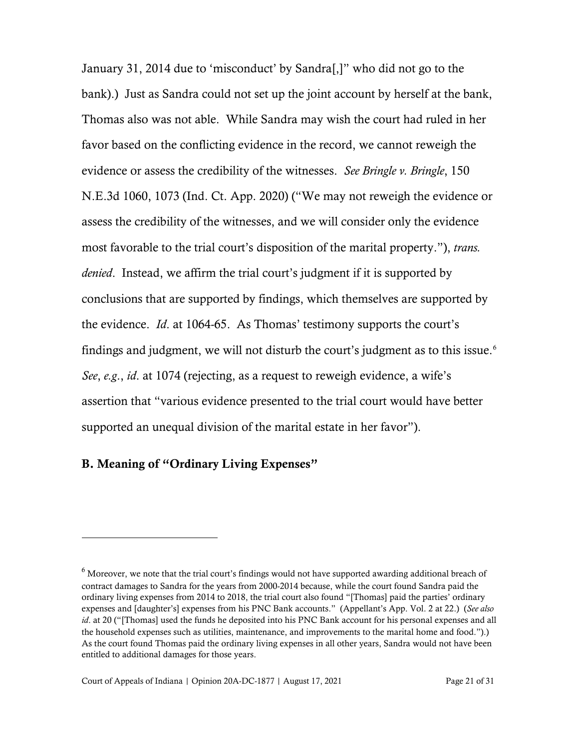January 31, 2014 due to 'misconduct' by Sandra[,]" who did not go to the bank).) Just as Sandra could not set up the joint account by herself at the bank, Thomas also was not able. While Sandra may wish the court had ruled in her favor based on the conflicting evidence in the record, we cannot reweigh the evidence or assess the credibility of the witnesses. *See Bringle v. Bringle*, 150 N.E.3d 1060, 1073 (Ind. Ct. App. 2020) ("We may not reweigh the evidence or assess the credibility of the witnesses, and we will consider only the evidence most favorable to the trial court's disposition of the marital property."), *trans. denied*. Instead, we affirm the trial court's judgment if it is supported by conclusions that are supported by findings, which themselves are supported by the evidence. *Id*. at 1064-65. As Thomas' testimony supports the court's findings and judgment, we will not disturb the court's judgment as to this issue.<sup>[6](#page-20-0)</sup> *See*, *e.g*., *id*. at 1074 (rejecting, as a request to reweigh evidence, a wife's assertion that "various evidence presented to the trial court would have better supported an unequal division of the marital estate in her favor").

#### B. Meaning of "Ordinary Living Expenses"

<span id="page-20-0"></span><sup>&</sup>lt;sup>6</sup> Moreover, we note that the trial court's findings would not have supported awarding additional breach of contract damages to Sandra for the years from 2000-2014 because, while the court found Sandra paid the ordinary living expenses from 2014 to 2018, the trial court also found "[Thomas] paid the parties' ordinary expenses and [daughter's] expenses from his PNC Bank accounts." (Appellant's App. Vol. 2 at 22.) (*See also id*. at 20 ("[Thomas] used the funds he deposited into his PNC Bank account for his personal expenses and all the household expenses such as utilities, maintenance, and improvements to the marital home and food.").) As the court found Thomas paid the ordinary living expenses in all other years, Sandra would not have been entitled to additional damages for those years.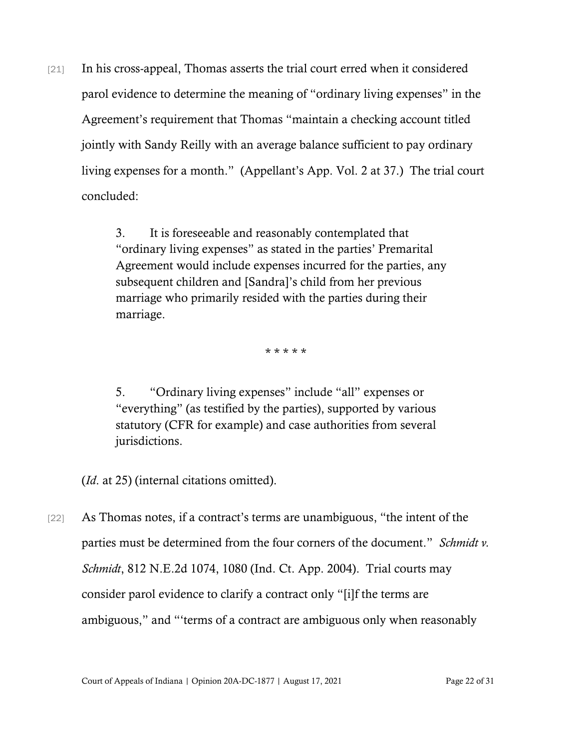[21] In his cross-appeal, Thomas asserts the trial court erred when it considered parol evidence to determine the meaning of "ordinary living expenses" in the Agreement's requirement that Thomas "maintain a checking account titled jointly with Sandy Reilly with an average balance sufficient to pay ordinary living expenses for a month." (Appellant's App. Vol. 2 at 37.) The trial court concluded:

> 3. It is foreseeable and reasonably contemplated that "ordinary living expenses" as stated in the parties' Premarital Agreement would include expenses incurred for the parties, any subsequent children and [Sandra]'s child from her previous marriage who primarily resided with the parties during their marriage.

> > \* \* \* \* \*

5. "Ordinary living expenses" include "all" expenses or "everything" (as testified by the parties), supported by various statutory (CFR for example) and case authorities from several jurisdictions.

(*Id*. at 25) (internal citations omitted).

[22] As Thomas notes, if a contract's terms are unambiguous, "the intent of the parties must be determined from the four corners of the document." *Schmidt v. Schmidt*, 812 N.E.2d 1074, 1080 (Ind. Ct. App. 2004). Trial courts may consider parol evidence to clarify a contract only "[i]f the terms are ambiguous," and "'terms of a contract are ambiguous only when reasonably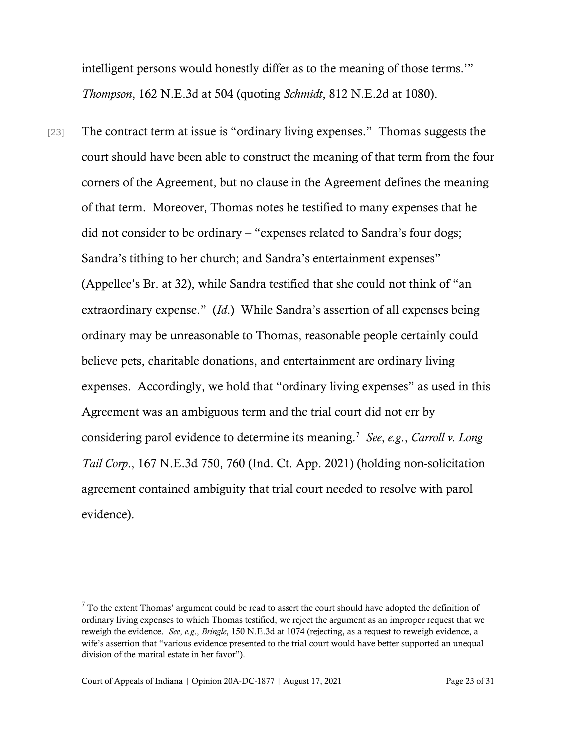intelligent persons would honestly differ as to the meaning of those terms.'" *Thompson*, 162 N.E.3d at 504 (quoting *Schmidt*, 812 N.E.2d at 1080).

[23] The contract term at issue is "ordinary living expenses." Thomas suggests the court should have been able to construct the meaning of that term from the four corners of the Agreement, but no clause in the Agreement defines the meaning of that term. Moreover, Thomas notes he testified to many expenses that he did not consider to be ordinary – "expenses related to Sandra's four dogs; Sandra's tithing to her church; and Sandra's entertainment expenses" (Appellee's Br. at 32), while Sandra testified that she could not think of "an extraordinary expense." (*Id*.) While Sandra's assertion of all expenses being ordinary may be unreasonable to Thomas, reasonable people certainly could believe pets, charitable donations, and entertainment are ordinary living expenses. Accordingly, we hold that "ordinary living expenses" as used in this Agreement was an ambiguous term and the trial court did not err by considering parol evidence to determine its meaning.[7](#page-22-0) *See*, *e.g*., *Carroll v. Long Tail Corp*., 167 N.E.3d 750, 760 (Ind. Ct. App. 2021) (holding non-solicitation agreement contained ambiguity that trial court needed to resolve with parol evidence).

<span id="page-22-0"></span> $7$  To the extent Thomas' argument could be read to assert the court should have adopted the definition of ordinary living expenses to which Thomas testified, we reject the argument as an improper request that we reweigh the evidence. *See*, *e.g*., *Bringle*, 150 N.E.3d at 1074 (rejecting, as a request to reweigh evidence, a wife's assertion that "various evidence presented to the trial court would have better supported an unequal division of the marital estate in her favor").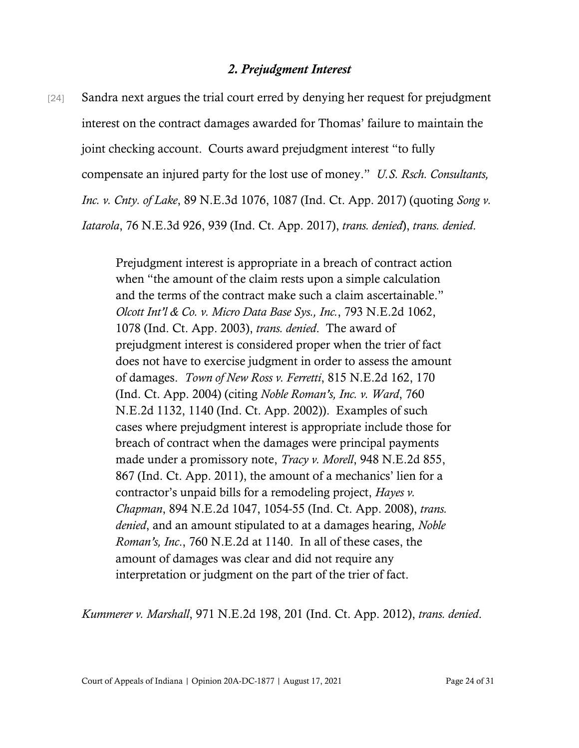#### *2. Prejudgment Interest*

[24] Sandra next argues the trial court erred by denying her request for prejudgment interest on the contract damages awarded for Thomas' failure to maintain the joint checking account. Courts award prejudgment interest "to fully compensate an injured party for the lost use of money." *U.S. Rsch. Consultants, Inc. v. Cnty. of Lake*, 89 N.E.3d 1076, 1087 (Ind. Ct. App. 2017) (quoting *Song v. Iatarola*, 76 N.E.3d 926, 939 (Ind. Ct. App. 2017), *trans. denied*), *trans. denied*.

> Prejudgment interest is appropriate in a breach of contract action when "the amount of the claim rests upon a simple calculation and the terms of the contract make such a claim ascertainable." *Olcott Int'l & Co. v. Micro Data Base Sys., Inc.*, 793 N.E.2d 1062, 1078 (Ind. Ct. App. 2003), *trans. denied*. The award of prejudgment interest is considered proper when the trier of fact does not have to exercise judgment in order to assess the amount of damages. *Town of New Ross v. Ferretti*, 815 N.E.2d 162, 170 (Ind. Ct. App. 2004) (citing *Noble Roman's, Inc. v. Ward*, 760 N.E.2d 1132, 1140 (Ind. Ct. App. 2002)). Examples of such cases where prejudgment interest is appropriate include those for breach of contract when the damages were principal payments made under a promissory note, *Tracy v. Morell*, 948 N.E.2d 855, 867 (Ind. Ct. App. 2011), the amount of a mechanics' lien for a contractor's unpaid bills for a remodeling project, *Hayes v. Chapman*, 894 N.E.2d 1047, 1054-55 (Ind. Ct. App. 2008), *trans. denied*, and an amount stipulated to at a damages hearing, *Noble Roman's, Inc*., 760 N.E.2d at 1140. In all of these cases, the amount of damages was clear and did not require any interpretation or judgment on the part of the trier of fact.

*Kummerer v. Marshall*, 971 N.E.2d 198, 201 (Ind. Ct. App. 2012), *trans. denied*.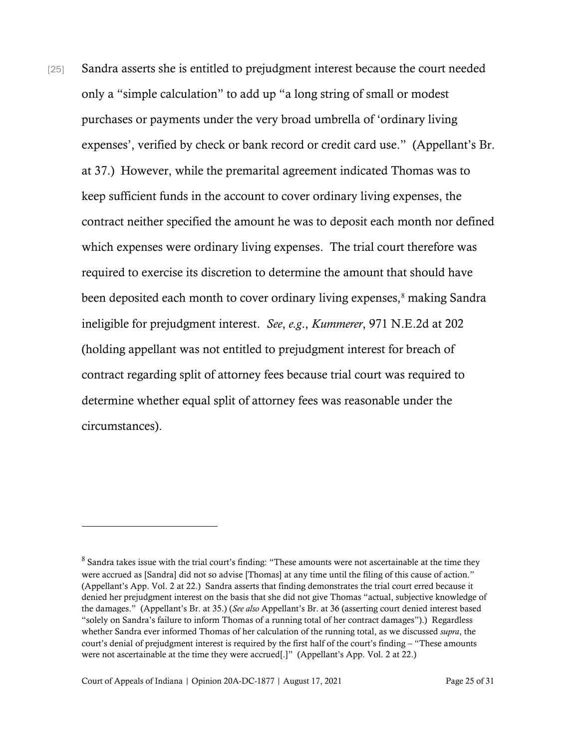[25] Sandra asserts she is entitled to prejudgment interest because the court needed only a "simple calculation" to add up "a long string of small or modest purchases or payments under the very broad umbrella of 'ordinary living expenses', verified by check or bank record or credit card use." (Appellant's Br. at 37.) However, while the premarital agreement indicated Thomas was to keep sufficient funds in the account to cover ordinary living expenses, the contract neither specified the amount he was to deposit each month nor defined which expenses were ordinary living expenses. The trial court therefore was required to exercise its discretion to determine the amount that should have been deposited each month to cover ordinary living expenses, [8](#page-24-0) making Sandra ineligible for prejudgment interest. *See*, *e.g*., *Kummerer*, 971 N.E.2d at 202 (holding appellant was not entitled to prejudgment interest for breach of contract regarding split of attorney fees because trial court was required to determine whether equal split of attorney fees was reasonable under the circumstances).

<span id="page-24-0"></span><sup>&</sup>lt;sup>8</sup> Sandra takes issue with the trial court's finding: "These amounts were not ascertainable at the time they were accrued as [Sandra] did not so advise [Thomas] at any time until the filing of this cause of action." (Appellant's App. Vol. 2 at 22.) Sandra asserts that finding demonstrates the trial court erred because it denied her prejudgment interest on the basis that she did not give Thomas "actual, subjective knowledge of the damages." (Appellant's Br. at 35.) (*See also* Appellant's Br. at 36 (asserting court denied interest based "solely on Sandra's failure to inform Thomas of a running total of her contract damages").) Regardless whether Sandra ever informed Thomas of her calculation of the running total, as we discussed *supra*, the court's denial of prejudgment interest is required by the first half of the court's finding – "These amounts were not ascertainable at the time they were accrued[.]" (Appellant's App. Vol. 2 at 22.)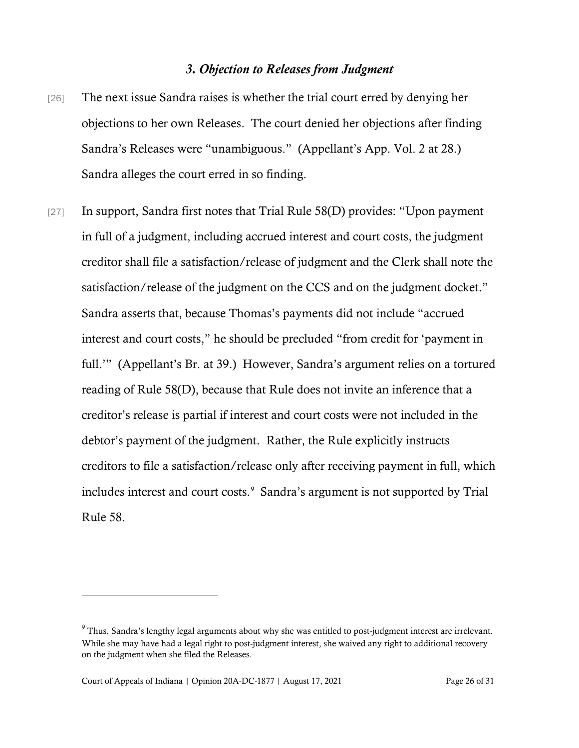### *3. Objection to Releases from Judgment*

- [26] The next issue Sandra raises is whether the trial court erred by denying her objections to her own Releases. The court denied her objections after finding Sandra's Releases were "unambiguous." (Appellant's App. Vol. 2 at 28.) Sandra alleges the court erred in so finding.
- [27] In support, Sandra first notes that Trial Rule 58(D) provides: "Upon payment in full of a judgment, including accrued interest and court costs, the judgment creditor shall file a satisfaction/release of judgment and the Clerk shall note the satisfaction/release of the judgment on the CCS and on the judgment docket." Sandra asserts that, because Thomas's payments did not include "accrued interest and court costs," he should be precluded "from credit for 'payment in full.'" (Appellant's Br. at 39.) However, Sandra's argument relies on a tortured reading of Rule 58(D), because that Rule does not invite an inference that a creditor's release is partial if interest and court costs were not included in the debtor's payment of the judgment. Rather, the Rule explicitly instructs creditors to file a satisfaction/release only after receiving payment in full, which includes interest and court costs.<sup>[9](#page-25-0)</sup> Sandra's argument is not supported by Trial Rule 58.

<span id="page-25-0"></span><sup>&</sup>lt;sup>9</sup> Thus, Sandra's lengthy legal arguments about why she was entitled to post-judgment interest are irrelevant. While she may have had a legal right to post-judgment interest, she waived any right to additional recovery on the judgment when she filed the Releases.

Court of Appeals of Indiana | Opinion 20A-DC-1877 | August 17, 2021 Page 26 of 31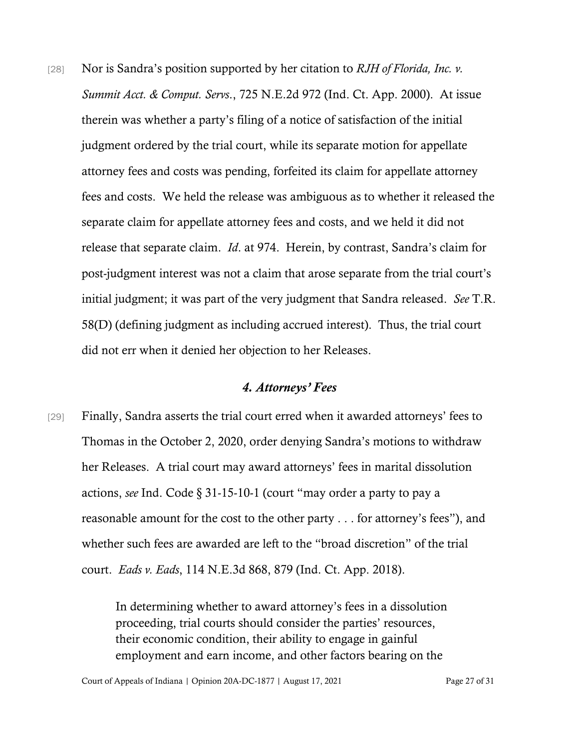[28] Nor is Sandra's position supported by her citation to *RJH of Florida, Inc. v. Summit Acct. & Comput. Servs*., 725 N.E.2d 972 (Ind. Ct. App. 2000). At issue therein was whether a party's filing of a notice of satisfaction of the initial judgment ordered by the trial court, while its separate motion for appellate attorney fees and costs was pending, forfeited its claim for appellate attorney fees and costs. We held the release was ambiguous as to whether it released the separate claim for appellate attorney fees and costs, and we held it did not release that separate claim. *Id*. at 974. Herein, by contrast, Sandra's claim for post-judgment interest was not a claim that arose separate from the trial court's initial judgment; it was part of the very judgment that Sandra released. *See* T.R. 58(D) (defining judgment as including accrued interest). Thus, the trial court did not err when it denied her objection to her Releases.

#### *4. Attorneys' Fees*

[29] Finally, Sandra asserts the trial court erred when it awarded attorneys' fees to Thomas in the October 2, 2020, order denying Sandra's motions to withdraw her Releases. A trial court may award attorneys' fees in marital dissolution actions, *see* Ind. Code § 31-15-10-1 (court "may order a party to pay a reasonable amount for the cost to the other party . . . for attorney's fees"), and whether such fees are awarded are left to the "broad discretion" of the trial court. *Eads v. Eads*, 114 N.E.3d 868, 879 (Ind. Ct. App. 2018).

> In determining whether to award attorney's fees in a dissolution proceeding, trial courts should consider the parties' resources, their economic condition, their ability to engage in gainful employment and earn income, and other factors bearing on the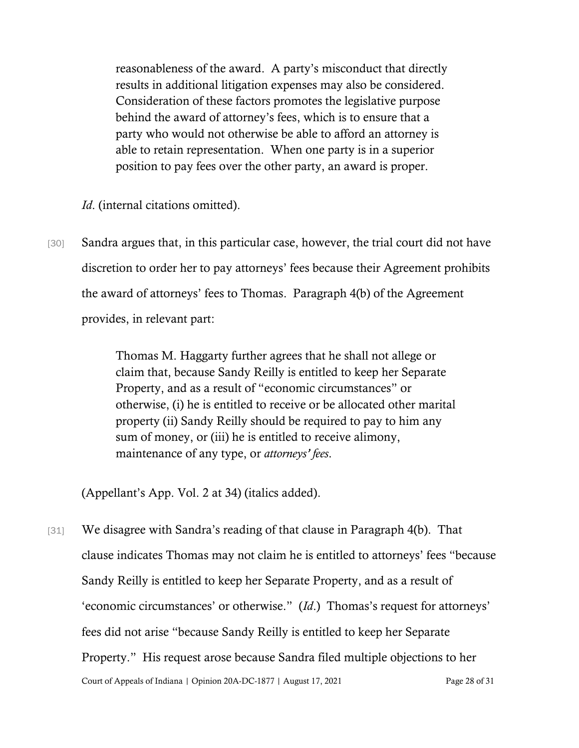reasonableness of the award. A party's misconduct that directly results in additional litigation expenses may also be considered. Consideration of these factors promotes the legislative purpose behind the award of attorney's fees, which is to ensure that a party who would not otherwise be able to afford an attorney is able to retain representation. When one party is in a superior position to pay fees over the other party, an award is proper.

*Id.* (internal citations omitted).

[30] Sandra argues that, in this particular case, however, the trial court did not have discretion to order her to pay attorneys' fees because their Agreement prohibits the award of attorneys' fees to Thomas. Paragraph 4(b) of the Agreement provides, in relevant part:

> Thomas M. Haggarty further agrees that he shall not allege or claim that, because Sandy Reilly is entitled to keep her Separate Property, and as a result of "economic circumstances" or otherwise, (i) he is entitled to receive or be allocated other marital property (ii) Sandy Reilly should be required to pay to him any sum of money, or (iii) he is entitled to receive alimony, maintenance of any type, or *attorneys' fees*.

(Appellant's App. Vol. 2 at 34) (italics added).

Court of Appeals of Indiana | Opinion 20A-DC-1877 | August 17, 2021 Page 28 of 31 [31] We disagree with Sandra's reading of that clause in Paragraph 4(b). That clause indicates Thomas may not claim he is entitled to attorneys' fees "because Sandy Reilly is entitled to keep her Separate Property, and as a result of 'economic circumstances' or otherwise." (*Id*.) Thomas's request for attorneys' fees did not arise "because Sandy Reilly is entitled to keep her Separate Property." His request arose because Sandra filed multiple objections to her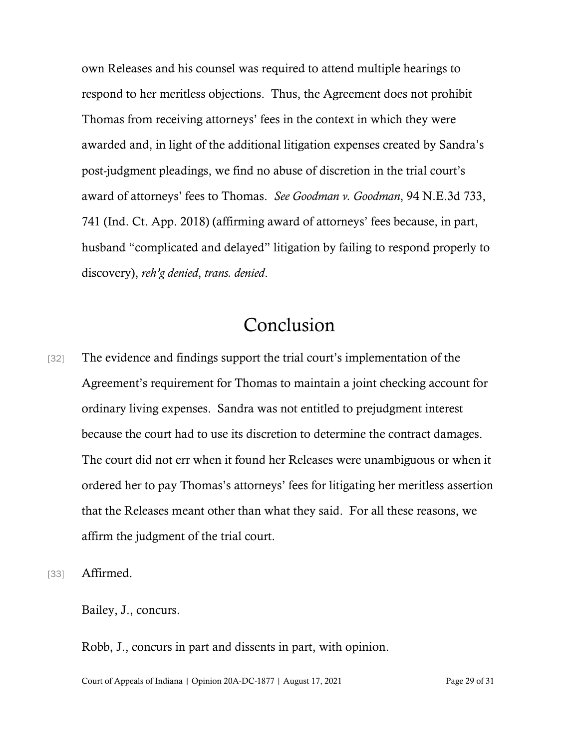own Releases and his counsel was required to attend multiple hearings to respond to her meritless objections. Thus, the Agreement does not prohibit Thomas from receiving attorneys' fees in the context in which they were awarded and, in light of the additional litigation expenses created by Sandra's post-judgment pleadings, we find no abuse of discretion in the trial court's award of attorneys' fees to Thomas. *See Goodman v. Goodman*, 94 N.E.3d 733, 741 (Ind. Ct. App. 2018) (affirming award of attorneys' fees because, in part, husband "complicated and delayed" litigation by failing to respond properly to discovery), *reh'g denied*, *trans. denied*.

## Conclusion

- [32] The evidence and findings support the trial court's implementation of the Agreement's requirement for Thomas to maintain a joint checking account for ordinary living expenses. Sandra was not entitled to prejudgment interest because the court had to use its discretion to determine the contract damages. The court did not err when it found her Releases were unambiguous or when it ordered her to pay Thomas's attorneys' fees for litigating her meritless assertion that the Releases meant other than what they said. For all these reasons, we affirm the judgment of the trial court.
- [33] **Affirmed.**

Bailey, J., concurs.

Robb, J., concurs in part and dissents in part, with opinion.

Court of Appeals of Indiana | Opinion 20A-DC-1877 | August 17, 2021 Page 29 of 31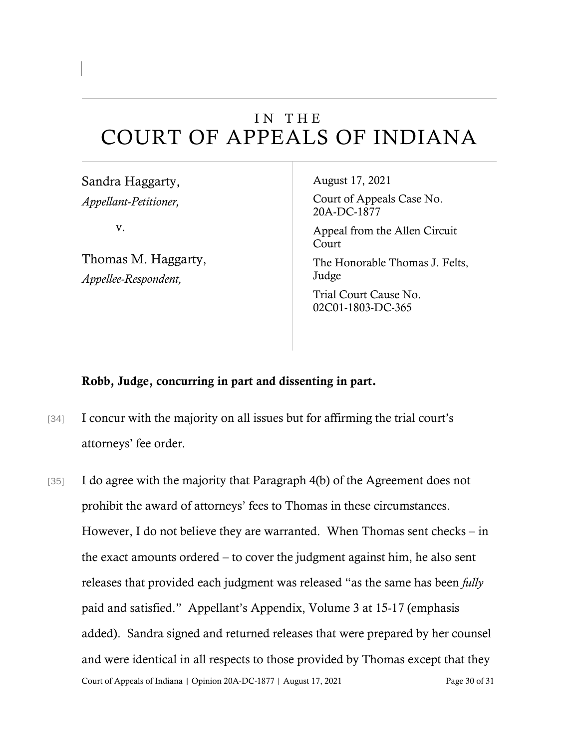## IN THE COURT OF APPEALS OF INDIANA

Sandra Haggarty, *Appellant-Petitioner,*

v.

Thomas M. Haggarty, *Appellee-Respondent,*

August 17, 2021

Court of Appeals Case No. 20A-DC-1877

Appeal from the Allen Circuit Court

The Honorable Thomas J. Felts, Judge

Trial Court Cause No. 02C01-1803-DC-365

#### Robb, Judge, concurring in part and dissenting in part.

- [34] I concur with the majority on all issues but for affirming the trial court's attorneys' fee order.
- Court of Appeals of Indiana | Opinion 20A-DC-1877 | August 17, 2021 Page 30 of 31 [35] I do agree with the majority that Paragraph 4(b) of the Agreement does not prohibit the award of attorneys' fees to Thomas in these circumstances. However, I do not believe they are warranted. When Thomas sent checks – in the exact amounts ordered – to cover the judgment against him, he also sent releases that provided each judgment was released "as the same has been *fully* paid and satisfied." Appellant's Appendix, Volume 3 at 15-17 (emphasis added). Sandra signed and returned releases that were prepared by her counsel and were identical in all respects to those provided by Thomas except that they